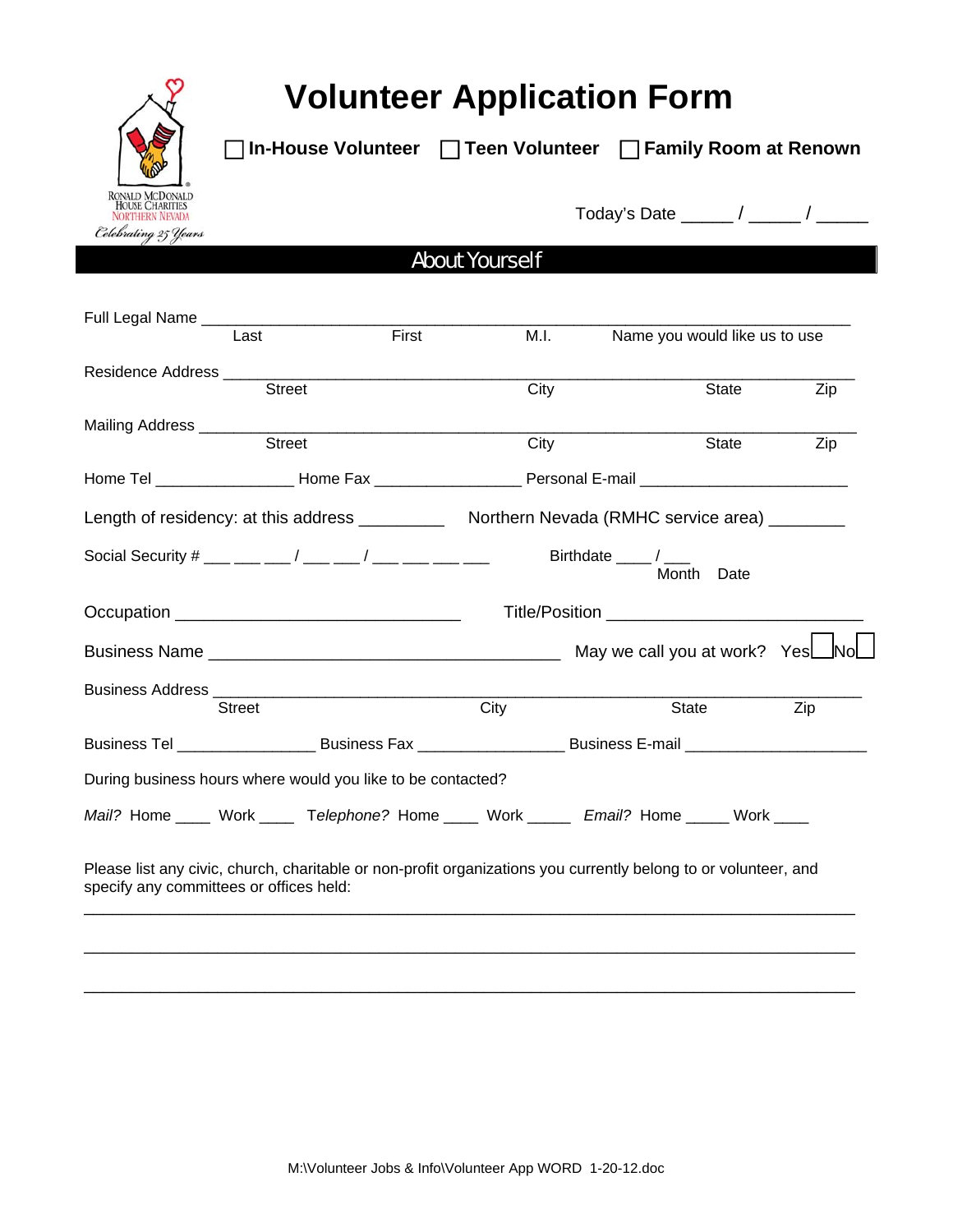

# **Volunteer Application Form**

 **In-House Volunteer Teen Volunteer Family Room at Renown** 

Today's Date \_\_\_\_\_ / \_\_\_\_\_ / \_\_\_\_\_

## About Yourself

| Full Legal Name _______________________                     |       |      |                                                                                                                |     |
|-------------------------------------------------------------|-------|------|----------------------------------------------------------------------------------------------------------------|-----|
| Last                                                        | First | M.I. | Name you would like us to use                                                                                  |     |
|                                                             |       |      |                                                                                                                |     |
| <b>Street</b>                                               |       | City | State                                                                                                          | Zip |
|                                                             |       |      |                                                                                                                |     |
| Street                                                      |       | City | State                                                                                                          | Zip |
|                                                             |       |      | Home Tel ___________________Home Fax _____________________Personal E-mail __________________________           |     |
|                                                             |       |      | Length of residency: at this address _______________ Northern Nevada (RMHC service area) _________             |     |
|                                                             |       |      | Birthdate ____/ ___<br>Month Date                                                                              |     |
|                                                             |       |      |                                                                                                                |     |
|                                                             |       |      |                                                                                                                |     |
|                                                             |       |      |                                                                                                                |     |
| <b>Street</b>                                               |       | City | State                                                                                                          | Zip |
|                                                             |       |      | Business Tel ________________________Business Fax ___________________________Business E-mail _________________ |     |
| During business hours where would you like to be contacted? |       |      |                                                                                                                |     |
|                                                             |       |      | Mail? Home ____ Work ____ Telephone? Home ____ Work _____ Email? Home _____ Work ____                          |     |
|                                                             |       |      |                                                                                                                |     |

Please list any civic, church, charitable or non-profit organizations you currently belong to or volunteer, and specify any committees or offices held: \_\_\_\_\_\_\_\_\_\_\_\_\_\_\_\_\_\_\_\_\_\_\_\_\_\_\_\_\_\_\_\_\_\_\_\_\_\_\_\_\_\_\_\_\_\_\_\_\_\_\_\_\_\_\_\_\_\_\_\_\_\_\_\_\_\_\_\_\_\_\_\_\_\_\_\_\_\_\_\_\_

\_\_\_\_\_\_\_\_\_\_\_\_\_\_\_\_\_\_\_\_\_\_\_\_\_\_\_\_\_\_\_\_\_\_\_\_\_\_\_\_\_\_\_\_\_\_\_\_\_\_\_\_\_\_\_\_\_\_\_\_\_\_\_\_\_\_\_\_\_\_\_\_\_\_\_\_\_\_\_\_\_

\_\_\_\_\_\_\_\_\_\_\_\_\_\_\_\_\_\_\_\_\_\_\_\_\_\_\_\_\_\_\_\_\_\_\_\_\_\_\_\_\_\_\_\_\_\_\_\_\_\_\_\_\_\_\_\_\_\_\_\_\_\_\_\_\_\_\_\_\_\_\_\_\_\_\_\_\_\_\_\_\_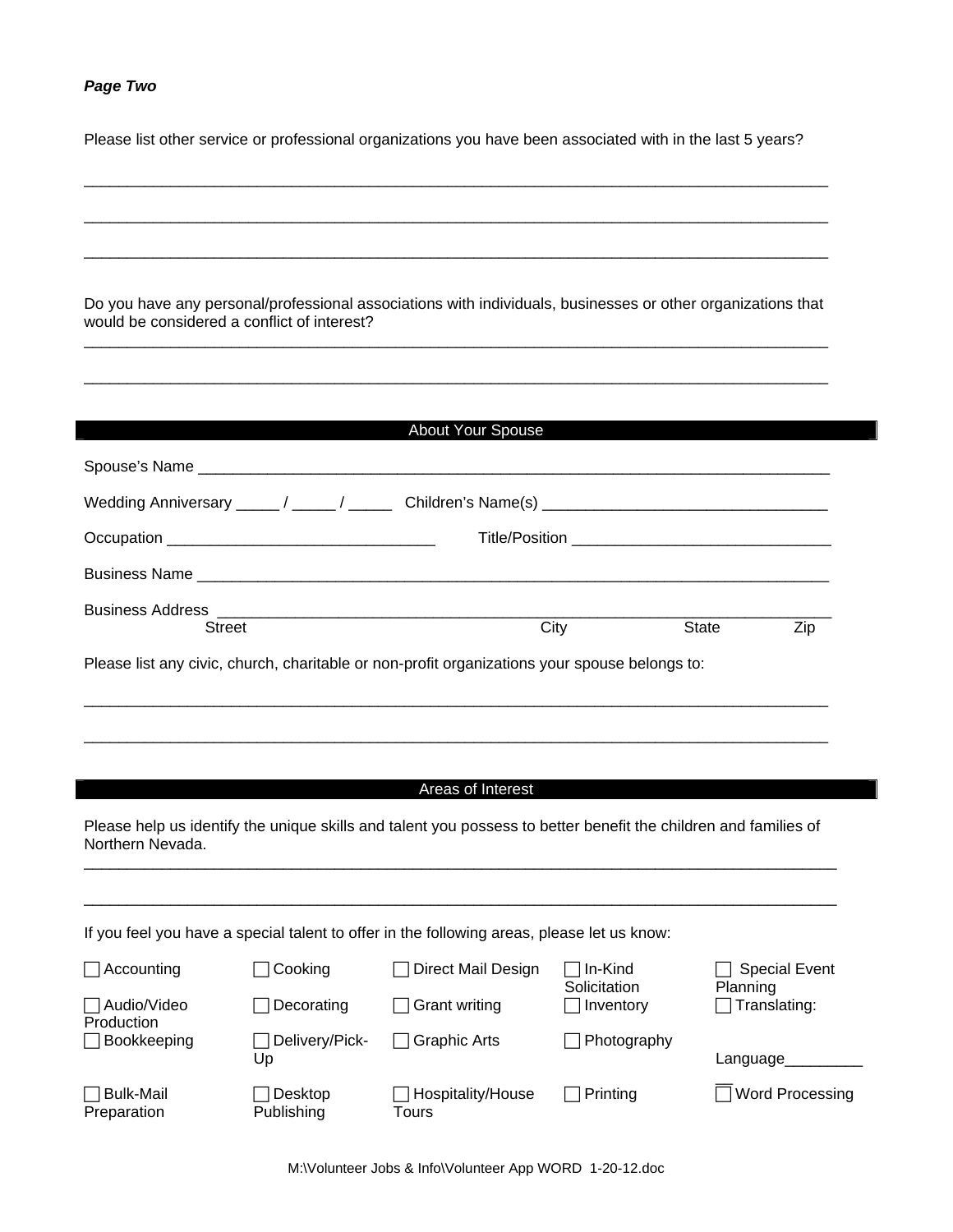## *Page Two*

Please list other service or professional organizations you have been associated with in the last 5 years?

|                                 | would be considered a conflict of interest? | Do you have any personal/professional associations with individuals, businesses or other organizations that     |                         |                                  |  |
|---------------------------------|---------------------------------------------|-----------------------------------------------------------------------------------------------------------------|-------------------------|----------------------------------|--|
|                                 |                                             | About Your Spouse                                                                                               |                         |                                  |  |
|                                 |                                             |                                                                                                                 |                         |                                  |  |
|                                 |                                             |                                                                                                                 |                         |                                  |  |
|                                 |                                             |                                                                                                                 |                         |                                  |  |
|                                 |                                             |                                                                                                                 |                         |                                  |  |
|                                 | Street                                      |                                                                                                                 | City                    | <b>State</b><br>Zip              |  |
|                                 |                                             | Please list any civic, church, charitable or non-profit organizations your spouse belongs to:                   |                         |                                  |  |
|                                 |                                             |                                                                                                                 |                         |                                  |  |
|                                 |                                             |                                                                                                                 |                         |                                  |  |
|                                 |                                             |                                                                                                                 |                         |                                  |  |
|                                 |                                             | Areas of Interest                                                                                               |                         |                                  |  |
| Northern Nevada.                |                                             | Please help us identify the unique skills and talent you possess to better benefit the children and families of |                         |                                  |  |
|                                 |                                             |                                                                                                                 |                         |                                  |  |
|                                 |                                             |                                                                                                                 |                         |                                  |  |
|                                 |                                             | If you feel you have a special talent to offer in the following areas, please let us know:                      |                         |                                  |  |
| Accounting                      | Cooking                                     | Direct Mail Design                                                                                              | In-Kind<br>Solicitation | <b>Special Event</b><br>Planning |  |
| Audio/Video<br>Production       | Decorating                                  | <b>Grant writing</b>                                                                                            | Inventory               | Translating:                     |  |
| Bookkeeping                     | Delivery/Pick-<br>Up                        | <b>Graphic Arts</b>                                                                                             | Photography             | Language_                        |  |
| <b>Bulk-Mail</b><br>Preparation | Desktop<br>Publishing                       | Hospitality/House<br><b>Tours</b>                                                                               | Printing                | <b>Word Processing</b>           |  |

M:\Volunteer Jobs & Info\Volunteer App WORD 1-20-12.doc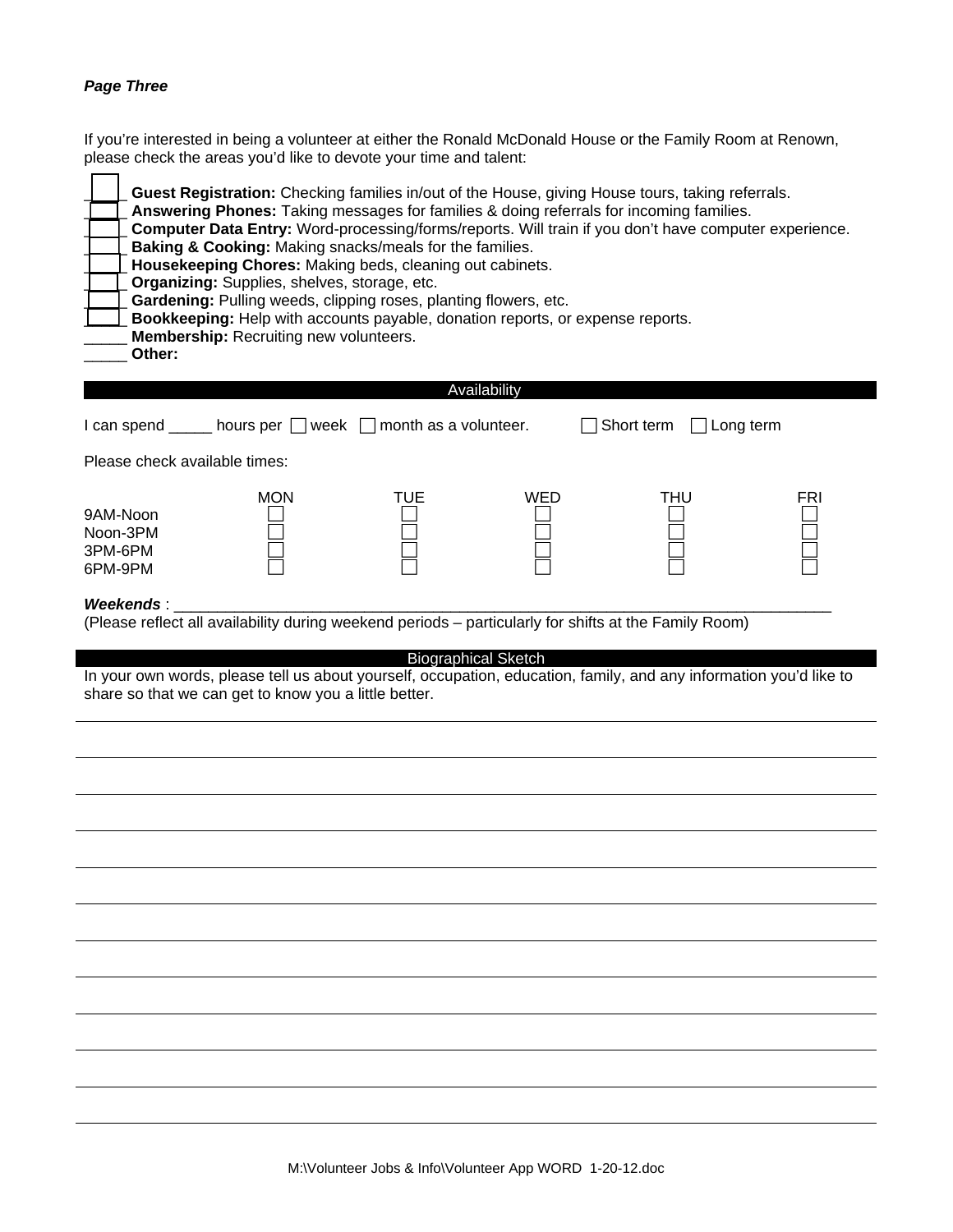### *Page Three*

If you're interested in being a volunteer at either the Ronald McDonald House or the Family Room at Renown, please check the areas you'd like to devote your time and talent:

| Guest Registration: Checking families in/out of the House, giving House tours, taking referrals.<br>Answering Phones: Taking messages for families & doing referrals for incoming families.<br>Computer Data Entry: Word-processing/forms/reports. Will train if you don't have computer experience.<br>Baking & Cooking: Making snacks/meals for the families.<br>Housekeeping Chores: Making beds, cleaning out cabinets.<br>Organizing: Supplies, shelves, storage, etc.<br>Gardening: Pulling weeds, clipping roses, planting flowers, etc.<br>Bookkeeping: Help with accounts payable, donation reports, or expense reports.<br><b>Membership:</b> Recruiting new volunteers.<br>Other: |                                                                             |              |     |                         |     |
|----------------------------------------------------------------------------------------------------------------------------------------------------------------------------------------------------------------------------------------------------------------------------------------------------------------------------------------------------------------------------------------------------------------------------------------------------------------------------------------------------------------------------------------------------------------------------------------------------------------------------------------------------------------------------------------------|-----------------------------------------------------------------------------|--------------|-----|-------------------------|-----|
|                                                                                                                                                                                                                                                                                                                                                                                                                                                                                                                                                                                                                                                                                              | I can spend $\_\_\_\_$ hours per $\_\_\$ week $\_\_\$ month as a volunteer. | Availability |     | Short term<br>Long term |     |
| Please check available times:                                                                                                                                                                                                                                                                                                                                                                                                                                                                                                                                                                                                                                                                |                                                                             |              |     |                         |     |
| 9AM-Noon<br>Noon-3PM<br>3PM-6PM<br>6PM-9PM                                                                                                                                                                                                                                                                                                                                                                                                                                                                                                                                                                                                                                                   | <b>MON</b>                                                                  | TUE          | WED | <b>THU</b>              | FRI |
| Weekends:<br>(Please reflect all availability during weekend periods - particularly for shifts at the Family Room)<br><b>Biographical Sketch</b><br>In your own words, please tell us about yourself, occupation, education, family, and any information you'd like to<br>share so that we can get to know you a little better.                                                                                                                                                                                                                                                                                                                                                              |                                                                             |              |     |                         |     |
|                                                                                                                                                                                                                                                                                                                                                                                                                                                                                                                                                                                                                                                                                              |                                                                             |              |     |                         |     |
|                                                                                                                                                                                                                                                                                                                                                                                                                                                                                                                                                                                                                                                                                              |                                                                             |              |     |                         |     |
|                                                                                                                                                                                                                                                                                                                                                                                                                                                                                                                                                                                                                                                                                              |                                                                             |              |     |                         |     |
|                                                                                                                                                                                                                                                                                                                                                                                                                                                                                                                                                                                                                                                                                              |                                                                             |              |     |                         |     |
|                                                                                                                                                                                                                                                                                                                                                                                                                                                                                                                                                                                                                                                                                              |                                                                             |              |     |                         |     |
|                                                                                                                                                                                                                                                                                                                                                                                                                                                                                                                                                                                                                                                                                              |                                                                             |              |     |                         |     |
|                                                                                                                                                                                                                                                                                                                                                                                                                                                                                                                                                                                                                                                                                              |                                                                             |              |     |                         |     |